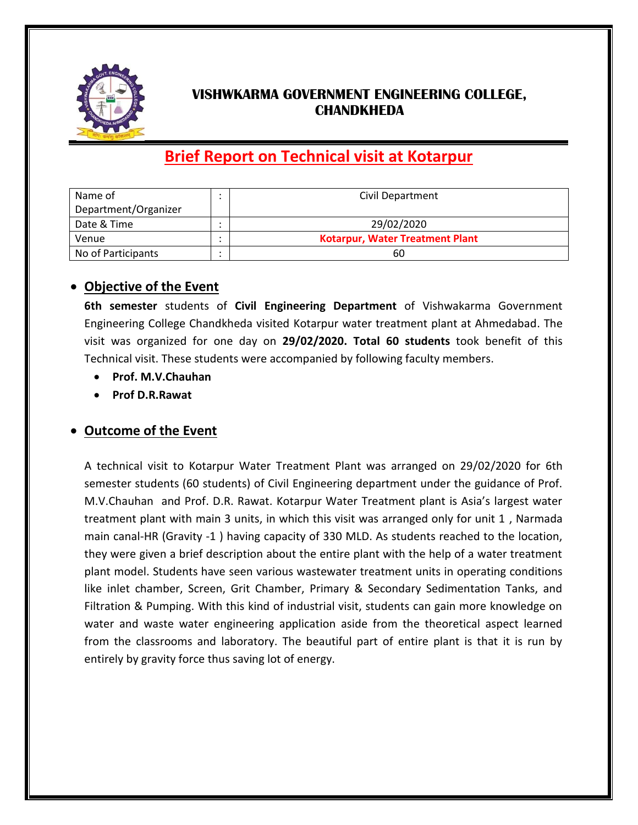

## **VISHWKARMA GOVERNMENT ENGINEERING COLLEGE, CHANDKHEDA**

# **Brief Report on Technical visit at Kotarpur**

| Name of              | Civil Department                |
|----------------------|---------------------------------|
| Department/Organizer |                                 |
| Date & Time          | 29/02/2020                      |
| Venue                | Kotarpur, Water Treatment Plant |
| No of Participants   | 60                              |

#### **Objective of the Event**

**6th semester** students of **Civil Engineering Department** of Vishwakarma Government Engineering College Chandkheda visited Kotarpur water treatment plant at Ahmedabad. The visit was organized for one day on **29/02/2020. Total 60 students** took benefit of this Technical visit. These students were accompanied by following faculty members.

- **Prof. M.V.Chauhan**
- **Prof D.R.Rawat**

### **Outcome of the Event**

A technical visit to Kotarpur Water Treatment Plant was arranged on 29/02/2020 for 6th semester students (60 students) of Civil Engineering department under the guidance of Prof. M.V.Chauhan and Prof. D.R. Rawat. Kotarpur Water Treatment plant is Asia's largest water treatment plant with main 3 units, in which this visit was arranged only for unit 1 , Narmada main canal-HR (Gravity -1 ) having capacity of 330 MLD. As students reached to the location, they were given a brief description about the entire plant with the help of a water treatment plant model. Students have seen various wastewater treatment units in operating conditions like inlet chamber, Screen, Grit Chamber, Primary & Secondary Sedimentation Tanks, and Filtration & Pumping. With this kind of industrial visit, students can gain more knowledge on water and waste water engineering application aside from the theoretical aspect learned from the classrooms and laboratory. The beautiful part of entire plant is that it is run by entirely by gravity force thus saving lot of energy.